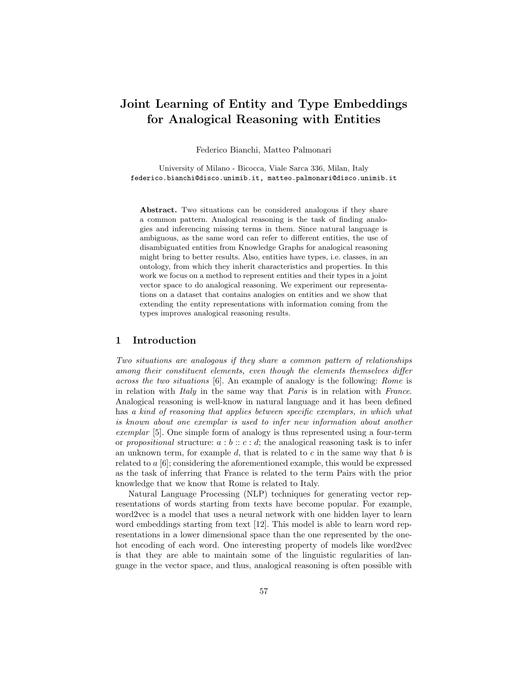# Joint Learning of Entity and Type Embeddings for Analogical Reasoning with Entities

Federico Bianchi, Matteo Palmonari

University of Milano - Bicocca, Viale Sarca 336, Milan, Italy federico.bianchi@disco.unimib.it, matteo.palmonari@disco.unimib.it

Abstract. Two situations can be considered analogous if they share a common pattern. Analogical reasoning is the task of finding analogies and inferencing missing terms in them. Since natural language is ambiguous, as the same word can refer to different entities, the use of disambiguated entities from Knowledge Graphs for analogical reasoning might bring to better results. Also, entities have types, i.e. classes, in an ontology, from which they inherit characteristics and properties. In this work we focus on a method to represent entities and their types in a joint vector space to do analogical reasoning. We experiment our representations on a dataset that contains analogies on entities and we show that extending the entity representations with information coming from the types improves analogical reasoning results.

## 1 Introduction

Two situations are analogous if they share a common pattern of relationships among their constituent elements, even though the elements themselves differ across the two situations [6]. An example of analogy is the following: Rome is in relation with Italy in the same way that Paris is in relation with France. Analogical reasoning is well-know in natural language and it has been defined has a kind of reasoning that applies between specific exemplars, in which what is known about one exemplar is used to infer new information about another exemplar [5]. One simple form of analogy is thus represented using a four-term or propositional structure:  $a:b::c:d$ ; the analogical reasoning task is to infer an unknown term, for example  $d$ , that is related to  $c$  in the same way that  $b$  is related to  $a\left[6\right]$ ; considering the aforementioned example, this would be expressed as the task of inferring that France is related to the term Pairs with the prior knowledge that we know that Rome is related to Italy.

Natural Language Processing (NLP) techniques for generating vector representations of words starting from texts have become popular. For example, word2vec is a model that uses a neural network with one hidden layer to learn word embeddings starting from text [12]. This model is able to learn word representations in a lower dimensional space than the one represented by the onehot encoding of each word. One interesting property of models like word2vec is that they are able to maintain some of the linguistic regularities of language in the vector space, and thus, analogical reasoning is often possible with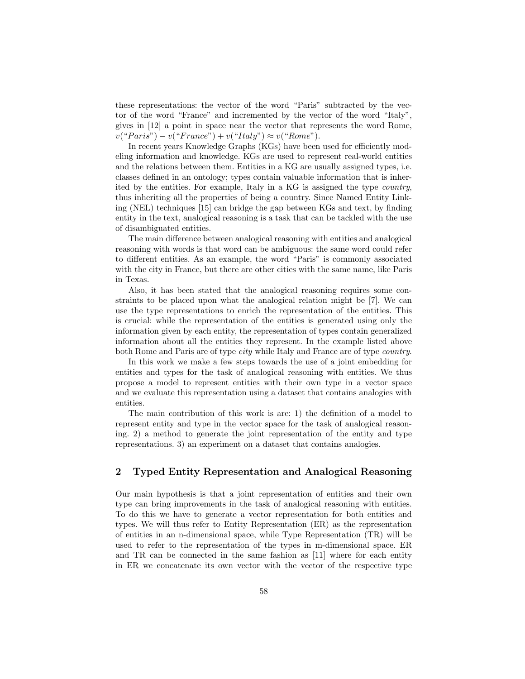these representations: the vector of the word "Paris" subtracted by the vector of the word "France" and incremented by the vector of the word "Italy", gives in [12] a point in space near the vector that represents the word Rome,  $v("Paris") - v("France") + v("Italy") \approx v("Rome").$ 

In recent years Knowledge Graphs (KGs) have been used for efficiently modeling information and knowledge. KGs are used to represent real-world entities and the relations between them. Entities in a KG are usually assigned types, i.e. classes defined in an ontology; types contain valuable information that is inherited by the entities. For example, Italy in a KG is assigned the type country, thus inheriting all the properties of being a country. Since Named Entity Linking (NEL) techniques [15] can bridge the gap between KGs and text, by finding entity in the text, analogical reasoning is a task that can be tackled with the use of disambiguated entities.

The main difference between analogical reasoning with entities and analogical reasoning with words is that word can be ambiguous: the same word could refer to different entities. As an example, the word "Paris" is commonly associated with the city in France, but there are other cities with the same name, like Paris in Texas.

Also, it has been stated that the analogical reasoning requires some constraints to be placed upon what the analogical relation might be [7]. We can use the type representations to enrich the representation of the entities. This is crucial: while the representation of the entities is generated using only the information given by each entity, the representation of types contain generalized information about all the entities they represent. In the example listed above both Rome and Paris are of type *city* while Italy and France are of type *country*.

In this work we make a few steps towards the use of a joint embedding for entities and types for the task of analogical reasoning with entities. We thus propose a model to represent entities with their own type in a vector space and we evaluate this representation using a dataset that contains analogies with entities.

The main contribution of this work is are: 1) the definition of a model to represent entity and type in the vector space for the task of analogical reasoning. 2) a method to generate the joint representation of the entity and type representations. 3) an experiment on a dataset that contains analogies.

## 2 Typed Entity Representation and Analogical Reasoning

Our main hypothesis is that a joint representation of entities and their own type can bring improvements in the task of analogical reasoning with entities. To do this we have to generate a vector representation for both entities and types. We will thus refer to Entity Representation (ER) as the representation of entities in an n-dimensional space, while Type Representation (TR) will be used to refer to the representation of the types in m-dimensional space. ER and TR can be connected in the same fashion as [11] where for each entity in ER we concatenate its own vector with the vector of the respective type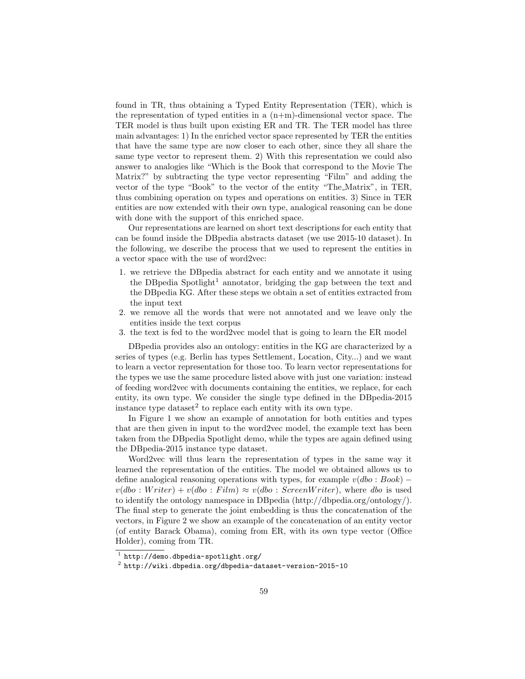found in TR, thus obtaining a Typed Entity Representation (TER), which is the representation of typed entities in a  $(n+m)$ -dimensional vector space. The TER model is thus built upon existing ER and TR. The TER model has three main advantages: 1) In the enriched vector space represented by TER the entities that have the same type are now closer to each other, since they all share the same type vector to represent them. 2) With this representation we could also answer to analogies like "Which is the Book that correspond to the Movie The Matrix?" by subtracting the type vector representing "Film" and adding the vector of the type "Book" to the vector of the entity "The Matrix", in TER, thus combining operation on types and operations on entities. 3) Since in TER entities are now extended with their own type, analogical reasoning can be done with done with the support of this enriched space.

Our representations are learned on short text descriptions for each entity that can be found inside the DBpedia abstracts dataset (we use 2015-10 dataset). In the following, we describe the process that we used to represent the entities in a vector space with the use of word2vec:

- 1. we retrieve the DBpedia abstract for each entity and we annotate it using the DB pedia Spotlight<sup>1</sup> annotator, bridging the gap between the text and the DBpedia KG. After these steps we obtain a set of entities extracted from the input text
- 2. we remove all the words that were not annotated and we leave only the entities inside the text corpus
- 3. the text is fed to the word2vec model that is going to learn the ER model

DBpedia provides also an ontology: entities in the KG are characterized by a series of types (e.g. Berlin has types Settlement, Location, City...) and we want to learn a vector representation for those too. To learn vector representations for the types we use the same procedure listed above with just one variation: instead of feeding word2vec with documents containing the entities, we replace, for each entity, its own type. We consider the single type defined in the DBpedia-2015 instance type dataset<sup>2</sup> to replace each entity with its own type.

In Figure 1 we show an example of annotation for both entities and types that are then given in input to the word2vec model, the example text has been taken from the DBpedia Spotlight demo, while the types are again defined using the DBpedia-2015 instance type dataset.

Word2vec will thus learn the representation of types in the same way it learned the representation of the entities. The model we obtained allows us to define analogical reasoning operations with types, for example  $v(dbo : Book)$  −  $v(dbo : Writer) + v(dbo : Film) \approx v(dbo : ScreenWriter)$ , where dbo is used to identify the ontology namespace in DBpedia (http://dbpedia.org/ontology/). The final step to generate the joint embedding is thus the concatenation of the vectors, in Figure 2 we show an example of the concatenation of an entity vector (of entity Barack Obama), coming from ER, with its own type vector (Office Holder), coming from TR.

 $^1$  http://demo.dbpedia-spotlight.org/

 $^{\rm 2}$  http://wiki.dbpedia.org/dbpedia-dataset-version-2015-10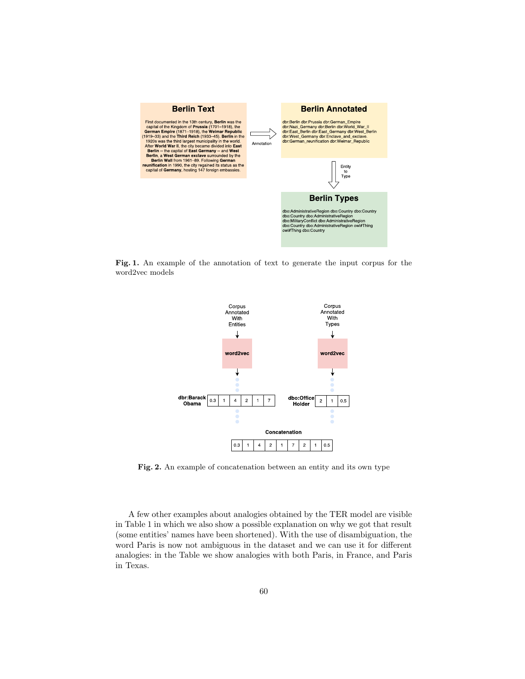

Fig. 1. An example of the annotation of text to generate the input corpus for the word2vec models



Fig. 2. An example of concatenation between an entity and its own type

A few other examples about analogies obtained by the TER model are visible in Table 1 in which we also show a possible explanation on why we got that result (some entities' names have been shortened). With the use of disambiguation, the word Paris is now not ambiguous in the dataset and we can use it for different analogies: in the Table we show analogies with both Paris, in France, and Paris in Texas.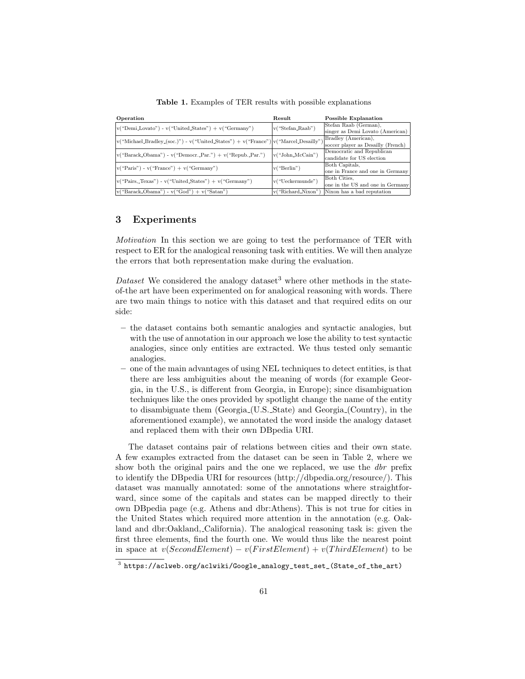Table 1. Examples of TER results with possible explanations

| Operation                                                                                                                                 | Result             | Possible Explanation               |
|-------------------------------------------------------------------------------------------------------------------------------------------|--------------------|------------------------------------|
| $v("Demi.Lovato") - v("United States") + v("Germany")$                                                                                    | v("Stefan_Raab")   | Stefan Raab (German),              |
|                                                                                                                                           |                    | singer as Demi Lovato (American)   |
| $\vert v(\text{``Michael\_Bradley_{s}(soc.)}") - v(\text{``United\_States''}) + v(\text{``France''})\vert v(\text{``Marcel\_Desailly''})$ |                    | Bradley (American),                |
|                                                                                                                                           |                    | soccer player as Desailly (French) |
| $v("Barack\_Obama") - v("Democr._Par.^") + v("Repub._Par.^")$                                                                             | v("John_McCain")   | Democratic and Republican          |
|                                                                                                                                           |                    | candidate for US election          |
| $v("Paris") - v("France") + v("Germany")$                                                                                                 | v("Berlin")        | Both Capitals,                     |
|                                                                                                                                           |                    | one in France and one in Germany   |
| $ v("Pairs, Texas") - v("United States") + v("Germany")$                                                                                  | v("Ueckermunde")   | Both Cities.                       |
|                                                                                                                                           |                    | one in the US and one in Germany   |
| $ v("Barack\_Obama") - v("God") + v("Satan")$                                                                                             | v("Richard_Nixon") | Nixon has a bad reputation         |

## 3 Experiments

Motivation In this section we are going to test the performance of TER with respect to ER for the analogical reasoning task with entities. We will then analyze the errors that both representation make during the evaluation.

Dataset We considered the analogy dataset<sup>3</sup> where other methods in the stateof-the art have been experimented on for analogical reasoning with words. There are two main things to notice with this dataset and that required edits on our side:

- the dataset contains both semantic analogies and syntactic analogies, but with the use of annotation in our approach we lose the ability to test syntactic analogies, since only entities are extracted. We thus tested only semantic analogies.
- one of the main advantages of using NEL techniques to detect entities, is that there are less ambiguities about the meaning of words (for example Georgia, in the U.S., is different from Georgia, in Europe); since disambiguation techniques like the ones provided by spotlight change the name of the entity to disambiguate them (Georgia (U.S. State) and Georgia (Country), in the aforementioned example), we annotated the word inside the analogy dataset and replaced them with their own DBpedia URI.

The dataset contains pair of relations between cities and their own state. A few examples extracted from the dataset can be seen in Table 2, where we show both the original pairs and the one we replaced, we use the *dbr* prefix to identify the DBpedia URI for resources (http://dbpedia.org/resource/). This dataset was manually annotated: some of the annotations where straightforward, since some of the capitals and states can be mapped directly to their own DBpedia page (e.g. Athens and dbr:Athens). This is not true for cities in the United States which required more attention in the annotation (e.g. Oakland and dbr:Oakland, California). The analogical reasoning task is: given the first three elements, find the fourth one. We would thus like the nearest point in space at  $v(SecondElement) - v(FirstElement) + v(ThirdElement)$  to be

 $^3$  https://aclweb.org/aclwiki/Google\_analogy\_test\_set\_(State\_of\_the\_art)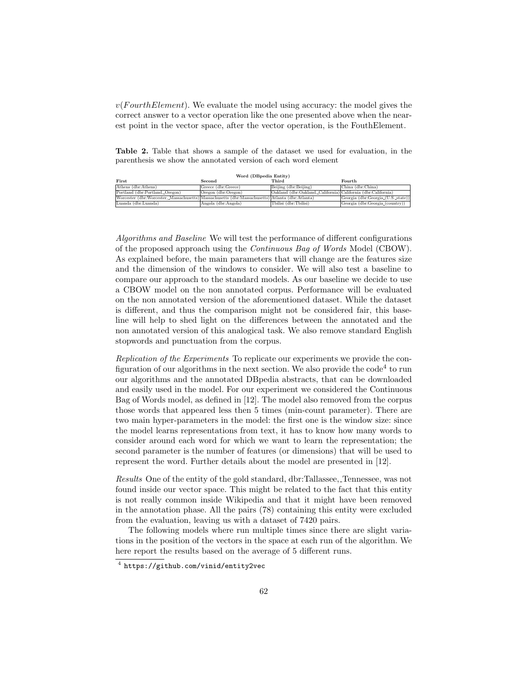$v(FourthElement)$ . We evaluate the model using accuracy: the model gives the correct answer to a vector operation like the one presented above when the nearest point in the vector space, after the vector operation, is the FouthElement.

Table 2. Table that shows a sample of the dataset we used for evaluation, in the parenthesis we show the annotated version of each word element

| Word (DBpedia Entity)                                                                            |                     |                                                               |                                    |  |  |
|--------------------------------------------------------------------------------------------------|---------------------|---------------------------------------------------------------|------------------------------------|--|--|
| <b>First</b>                                                                                     | Second              | Third                                                         | Fourth                             |  |  |
| Athens (dbr:Athens)                                                                              | Greece (dbr:Greece) | Beijing (dbr:Beijing)                                         | China (dbr:China)                  |  |  |
| Portland (dbr:Portland, Oregon)                                                                  | Oregon (dbr:Oregon) | Oakland (dbr:Oakland, California) California (dbr:California) |                                    |  |  |
| Worcester (dbr:Worcester, Massachusetts) Massachusetts (dbr:Massachusetts) Atlanta (dbr:Atlanta) |                     |                                                               | Georgia (dbr:Georgia (U.S. state)) |  |  |
| Luanda (dbr:Luanda)                                                                              | Angola (dbr:Angola) | Tbilisi (dbr:Tbilisi)                                         | Georgia (dbr:Georgia (country))    |  |  |

Algorithms and Baseline We will test the performance of different configurations of the proposed approach using the Continuous Bag of Words Model (CBOW). As explained before, the main parameters that will change are the features size and the dimension of the windows to consider. We will also test a baseline to compare our approach to the standard models. As our baseline we decide to use a CBOW model on the non annotated corpus. Performance will be evaluated on the non annotated version of the aforementioned dataset. While the dataset is different, and thus the comparison might not be considered fair, this baseline will help to shed light on the differences between the annotated and the non annotated version of this analogical task. We also remove standard English stopwords and punctuation from the corpus.

Replication of the Experiments To replicate our experiments we provide the configuration of our algorithms in the next section. We also provide the  $\text{code}^4$  to run our algorithms and the annotated DBpedia abstracts, that can be downloaded and easily used in the model. For our experiment we considered the Continuous Bag of Words model, as defined in [12]. The model also removed from the corpus those words that appeared less then 5 times (min-count parameter). There are two main hyper-parameters in the model: the first one is the window size: since the model learns representations from text, it has to know how many words to consider around each word for which we want to learn the representation; the second parameter is the number of features (or dimensions) that will be used to represent the word. Further details about the model are presented in [12].

Results One of the entity of the gold standard, dbr:Tallassee, Tennessee, was not found inside our vector space. This might be related to the fact that this entity is not really common inside Wikipedia and that it might have been removed in the annotation phase. All the pairs (78) containing this entity were excluded from the evaluation, leaving us with a dataset of 7420 pairs.

The following models where run multiple times since there are slight variations in the position of the vectors in the space at each run of the algorithm. We here report the results based on the average of 5 different runs.

<sup>4</sup> https://github.com/vinid/entity2vec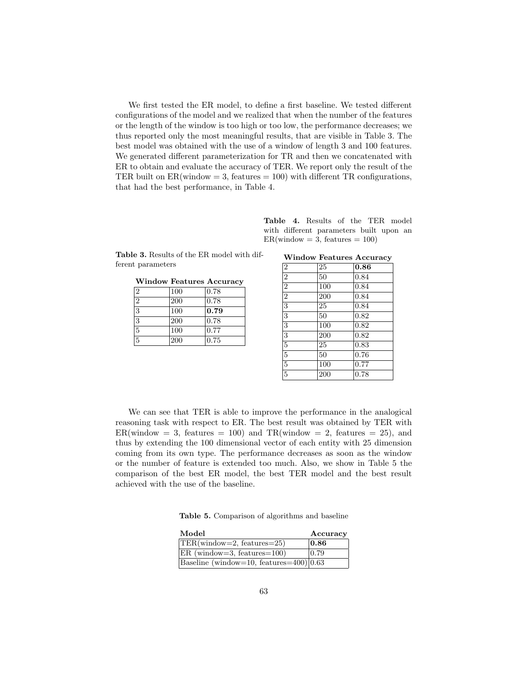We first tested the ER model, to define a first baseline. We tested different configurations of the model and we realized that when the number of the features or the length of the window is too high or too low, the performance decreases; we thus reported only the most meaningful results, that are visible in Table 3. The best model was obtained with the use of a window of length 3 and 100 features. We generated different parameterization for TR and then we concatenated with ER to obtain and evaluate the accuracy of TER. We report only the result of the TER built on  $ER(\text{window} = 3, \text{ features} = 100)$  with different TR configurations, that had the best performance, in Table 4.

| <b>Table 3.</b> Results of the ER model with dif- |  |
|---------------------------------------------------|--|
| ferent parameters                                 |  |

|                |     | <b>Window Features Accuracy</b> |
|----------------|-----|---------------------------------|
| $\overline{2}$ | 100 | 0.78                            |
| $\overline{2}$ | 200 | 0.78                            |
| 3              | 100 | 0.79                            |
| 3              | 200 | 0.78                            |
| $\bf 5$        | 100 | 0.77                            |
| $\overline{5}$ | 200 | 0.75                            |

Table 4. Results of the TER model with different parameters built upon an  $ER(window = 3, features = 100)$ 

|  |  | <b>Window Features Accuracy</b> |
|--|--|---------------------------------|
|--|--|---------------------------------|

| $\overline{2}$ | $\overline{25}$ | 0.86 |
|----------------|-----------------|------|
| $\overline{2}$ | 50              | 0.84 |
| $\overline{2}$ | 100             | 0.84 |
| $\overline{2}$ | 200             | 0.84 |
| $\overline{3}$ | 25              | 0.84 |
| $\overline{3}$ | 50              | 0.82 |
| $\overline{3}$ | 100             | 0.82 |
| $\overline{3}$ | 200             | 0.82 |
| $\overline{5}$ | 25              | 0.83 |
| $\overline{5}$ | 50              | 0.76 |
| $\overline{5}$ | 100             | 0.77 |
| $\overline{5}$ | 200             | 0.78 |

We can see that TER is able to improve the performance in the analogical reasoning task with respect to ER. The best result was obtained by TER with  $ER(\text{window} = 3, \text{ features} = 100)$  and  $TR(\text{window} = 2, \text{ features} = 25)$ , and thus by extending the 100 dimensional vector of each entity with 25 dimension coming from its own type. The performance decreases as soon as the window or the number of feature is extended too much. Also, we show in Table 5 the comparison of the best ER model, the best TER model and the best result achieved with the use of the baseline.

Table 5. Comparison of algorithms and baseline

| Model                                      | Accuracy |
|--------------------------------------------|----------|
| $ TER(window=2, features=25) $             | 0.86     |
| $ ER$ (window=3, features=100)             | 0.79     |
| $ Baseline$ (window=10, features=400) 0.63 |          |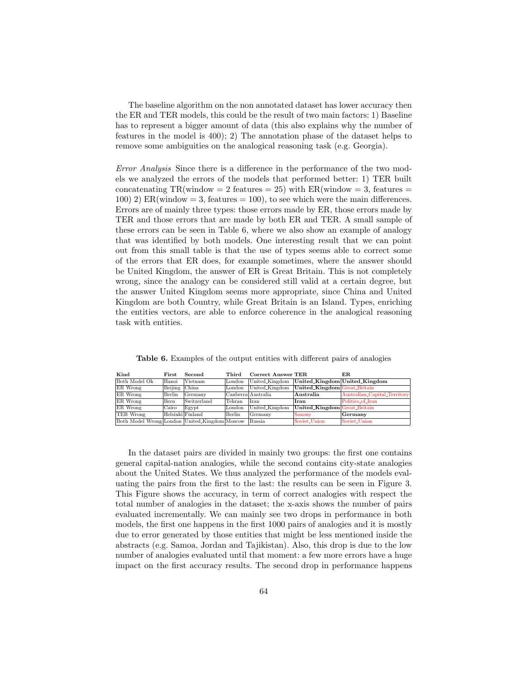The baseline algorithm on the non annotated dataset has lower accuracy then the ER and TER models, this could be the result of two main factors: 1) Baseline has to represent a bigger amount of data (this also explains why the number of features in the model is 400); 2) The annotation phase of the dataset helps to remove some ambiguities on the analogical reasoning task (e.g. Georgia).

Error Analysis Since there is a difference in the performance of the two models we analyzed the errors of the models that performed better: 1) TER built concatenating  $TR(\text{window} = 2 \text{ features} = 25)$  with  $ER(\text{window} = 3, \text{ features} = 1)$ 100) 2) ER(window = 3, features = 100), to see which were the main differences. Errors are of mainly three types: those errors made by ER, those errors made by TER and those errors that are made by both ER and TER. A small sample of these errors can be seen in Table 6, where we also show an example of analogy that was identified by both models. One interesting result that we can point out from this small table is that the use of types seems able to correct some of the errors that ER does, for example sometimes, where the answer should be United Kingdom, the answer of ER is Great Britain. This is not completely wrong, since the analogy can be considered still valid at a certain degree, but the answer United Kingdom seems more appropriate, since China and United Kingdom are both Country, while Great Britain is an Island. Types, enriching the entities vectors, are able to enforce coherence in the analogical reasoning task with entities.

| Kind                                          | $_{\mathrm{First}}$ | Second           | Third  | <b>Correct Answer TER</b> |                              | ER.                           |
|-----------------------------------------------|---------------------|------------------|--------|---------------------------|------------------------------|-------------------------------|
| Both Model Ok                                 | Hanoi               | Vietnam          | London | United_Kingdom            |                              | United_Kingdom United_Kingdom |
| ER Wrong                                      | Beijing China       |                  | London | United_Kingdom            | United_Kingdom Great_Britain |                               |
| ER Wrong                                      | Berlin              | Germany          |        | Canberra Australia        | $\rm{Australia}$             | Australian_Capital_Territory  |
| ER Wrong                                      | Bern                | Switzerland      | Tehran | l Iran                    | Iran                         | Politics of Iran              |
| ER Wrong                                      | Cairo               | Egypt            | London | United_Kingdom            | United_Kingdom Great_Britain |                               |
| TER Wrong                                     |                     | Helsinki Finland | Berlin | $1$ Germany               | Saxony                       | Germany                       |
| Both Model Wrong London United_Kingdom Moscow |                     |                  |        | Russia                    | Soviet_Union                 | Soviet_Union                  |

Table 6. Examples of the output entities with different pairs of analogies

In the dataset pairs are divided in mainly two groups: the first one contains general capital-nation analogies, while the second contains city-state analogies about the United States. We thus analyzed the performance of the models evaluating the pairs from the first to the last: the results can be seen in Figure 3. This Figure shows the accuracy, in term of correct analogies with respect the total number of analogies in the dataset; the x-axis shows the number of pairs evaluated incrementally. We can mainly see two drops in performance in both models, the first one happens in the first 1000 pairs of analogies and it is mostly due to error generated by those entities that might be less mentioned inside the abstracts (e.g. Samoa, Jordan and Tajikistan). Also, this drop is due to the low number of analogies evaluated until that moment: a few more errors have a huge impact on the first accuracy results. The second drop in performance happens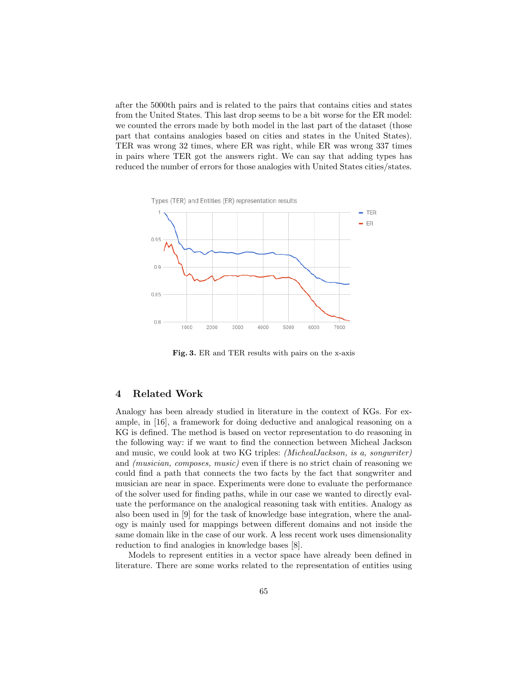after the 5000th pairs and is related to the pairs that contains cities and states from the United States. This last drop seems to be a bit worse for the ER model: we counted the errors made by both model in the last part of the dataset (those part that contains analogies based on cities and states in the United States). TER was wrong 32 times, where ER was right, while ER was wrong 337 times in pairs where TER got the answers right. We can say that adding types has reduced the number of errors for those analogies with United States cities/states.



Fig. 3. ER and TER results with pairs on the x-axis

## 4 Related Work

Analogy has been already studied in literature in the context of KGs. For example, in [16], a framework for doing deductive and analogical reasoning on a KG is defined. The method is based on vector representation to do reasoning in the following way: if we want to find the connection between Micheal Jackson and music, we could look at two KG triples: (MichealJackson, is a, songwriter) and (musician, composes, music) even if there is no strict chain of reasoning we could find a path that connects the two facts by the fact that songwriter and musician are near in space. Experiments were done to evaluate the performance of the solver used for finding paths, while in our case we wanted to directly evaluate the performance on the analogical reasoning task with entities. Analogy as also been used in [9] for the task of knowledge base integration, where the analogy is mainly used for mappings between different domains and not inside the same domain like in the case of our work. A less recent work uses dimensionality reduction to find analogies in knowledge bases [8].

Models to represent entities in a vector space have already been defined in literature. There are some works related to the representation of entities using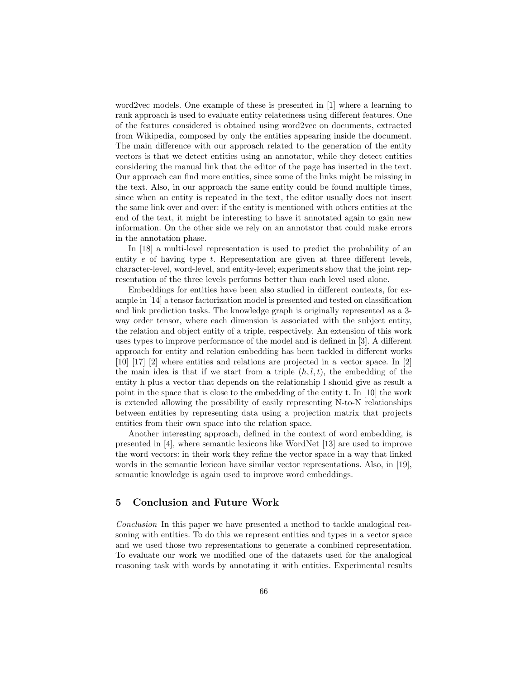word2vec models. One example of these is presented in [1] where a learning to rank approach is used to evaluate entity relatedness using different features. One of the features considered is obtained using word2vec on documents, extracted from Wikipedia, composed by only the entities appearing inside the document. The main difference with our approach related to the generation of the entity vectors is that we detect entities using an annotator, while they detect entities considering the manual link that the editor of the page has inserted in the text. Our approach can find more entities, since some of the links might be missing in the text. Also, in our approach the same entity could be found multiple times, since when an entity is repeated in the text, the editor usually does not insert the same link over and over: if the entity is mentioned with others entities at the end of the text, it might be interesting to have it annotated again to gain new information. On the other side we rely on an annotator that could make errors in the annotation phase.

In [18] a multi-level representation is used to predict the probability of an entity  $e$  of having type  $t$ . Representation are given at three different levels, character-level, word-level, and entity-level; experiments show that the joint representation of the three levels performs better than each level used alone.

Embeddings for entities have been also studied in different contexts, for example in [14] a tensor factorization model is presented and tested on classification and link prediction tasks. The knowledge graph is originally represented as a 3 way order tensor, where each dimension is associated with the subject entity, the relation and object entity of a triple, respectively. An extension of this work uses types to improve performance of the model and is defined in [3]. A different approach for entity and relation embedding has been tackled in different works [10] [17] [2] where entities and relations are projected in a vector space. In [2] the main idea is that if we start from a triple  $(h, l, t)$ , the embedding of the entity h plus a vector that depends on the relationship l should give as result a point in the space that is close to the embedding of the entity t. In [10] the work is extended allowing the possibility of easily representing N-to-N relationships between entities by representing data using a projection matrix that projects entities from their own space into the relation space.

Another interesting approach, defined in the context of word embedding, is presented in [4], where semantic lexicons like WordNet [13] are used to improve the word vectors: in their work they refine the vector space in a way that linked words in the semantic lexicon have similar vector representations. Also, in [19], semantic knowledge is again used to improve word embeddings.

## 5 Conclusion and Future Work

Conclusion In this paper we have presented a method to tackle analogical reasoning with entities. To do this we represent entities and types in a vector space and we used those two representations to generate a combined representation. To evaluate our work we modified one of the datasets used for the analogical reasoning task with words by annotating it with entities. Experimental results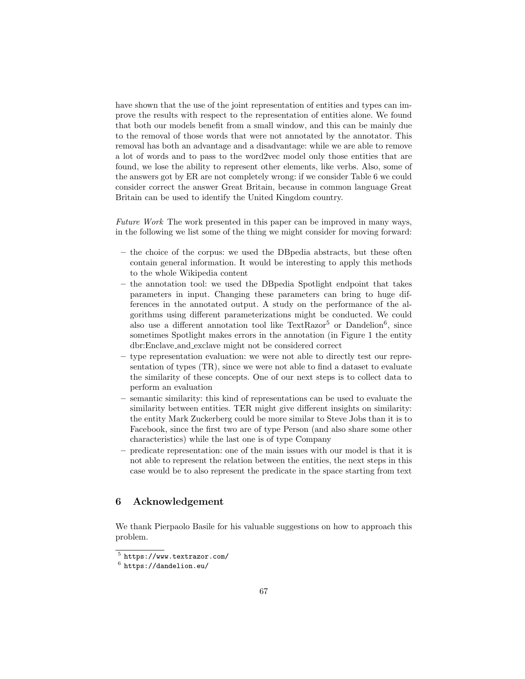have shown that the use of the joint representation of entities and types can improve the results with respect to the representation of entities alone. We found that both our models benefit from a small window, and this can be mainly due to the removal of those words that were not annotated by the annotator. This removal has both an advantage and a disadvantage: while we are able to remove a lot of words and to pass to the word2vec model only those entities that are found, we lose the ability to represent other elements, like verbs. Also, some of the answers got by ER are not completely wrong: if we consider Table 6 we could consider correct the answer Great Britain, because in common language Great Britain can be used to identify the United Kingdom country.

Future Work The work presented in this paper can be improved in many ways, in the following we list some of the thing we might consider for moving forward:

- the choice of the corpus: we used the DBpedia abstracts, but these often contain general information. It would be interesting to apply this methods to the whole Wikipedia content
- the annotation tool: we used the DBpedia Spotlight endpoint that takes parameters in input. Changing these parameters can bring to huge differences in the annotated output. A study on the performance of the algorithms using different parameterizations might be conducted. We could also use a different annotation tool like  $TextRazor<sup>5</sup>$  or Dandelion<sup>6</sup>, since sometimes Spotlight makes errors in the annotation (in Figure 1 the entity dbr:Enclave and exclave might not be considered correct
- type representation evaluation: we were not able to directly test our representation of types (TR), since we were not able to find a dataset to evaluate the similarity of these concepts. One of our next steps is to collect data to perform an evaluation
- semantic similarity: this kind of representations can be used to evaluate the similarity between entities. TER might give different insights on similarity: the entity Mark Zuckerberg could be more similar to Steve Jobs than it is to Facebook, since the first two are of type Person (and also share some other characteristics) while the last one is of type Company
- predicate representation: one of the main issues with our model is that it is not able to represent the relation between the entities, the next steps in this case would be to also represent the predicate in the space starting from text

## 6 Acknowledgement

We thank Pierpaolo Basile for his valuable suggestions on how to approach this problem.

<sup>5</sup> https://www.textrazor.com/

 $^6$  https://dandelion.eu/